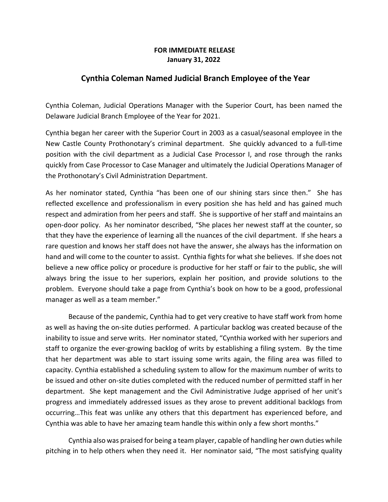## **FOR IMMEDIATE RELEASE January 31, 2022**

## **Cynthia Coleman Named Judicial Branch Employee of the Year**

Cynthia Coleman, Judicial Operations Manager with the Superior Court, has been named the Delaware Judicial Branch Employee of the Year for 2021.

Cynthia began her career with the Superior Court in 2003 as a casual/seasonal employee in the New Castle County Prothonotary's criminal department. She quickly advanced to a full-time position with the civil department as a Judicial Case Processor I, and rose through the ranks quickly from Case Processor to Case Manager and ultimately the Judicial Operations Manager of the Prothonotary's Civil Administration Department.

As her nominator stated, Cynthia "has been one of our shining stars since then." She has reflected excellence and professionalism in every position she has held and has gained much respect and admiration from her peers and staff. She is supportive of her staff and maintains an open-door policy. As her nominator described, "She places her newest staff at the counter, so that they have the experience of learning all the nuances of the civil department. If she hears a rare question and knows her staff does not have the answer, she always has the information on hand and will come to the counter to assist. Cynthia fights for what she believes. If she does not believe a new office policy or procedure is productive for her staff or fair to the public, she will always bring the issue to her superiors, explain her position, and provide solutions to the problem. Everyone should take a page from Cynthia's book on how to be a good, professional manager as well as a team member."

Because of the pandemic, Cynthia had to get very creative to have staff work from home as well as having the on-site duties performed. A particular backlog was created because of the inability to issue and serve writs. Her nominator stated, "Cynthia worked with her superiors and staff to organize the ever-growing backlog of writs by establishing a filing system. By the time that her department was able to start issuing some writs again, the filing area was filled to capacity. Cynthia established a scheduling system to allow for the maximum number of writs to be issued and other on-site duties completed with the reduced number of permitted staff in her department. She kept management and the Civil Administrative Judge apprised of her unit's progress and immediately addressed issues as they arose to prevent additional backlogs from occurring…This feat was unlike any others that this department has experienced before, and Cynthia was able to have her amazing team handle this within only a few short months."

Cynthia also was praised for being a team player, capable of handling her own duties while pitching in to help others when they need it. Her nominator said, "The most satisfying quality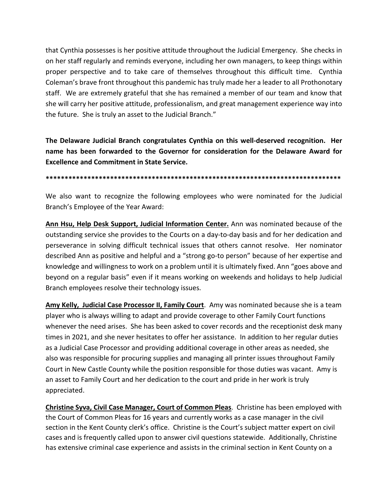that Cynthia possesses is her positive attitude throughout the Judicial Emergency. She checks in on her staff regularly and reminds everyone, including her own managers, to keep things within proper perspective and to take care of themselves throughout this difficult time. Cynthia Coleman's brave front throughout this pandemic has truly made her a leader to all Prothonotary staff. We are extremely grateful that she has remained a member of our team and know that she will carry her positive attitude, professionalism, and great management experience way into the future. She is truly an asset to the Judicial Branch."

**The Delaware Judicial Branch congratulates Cynthia on this well-deserved recognition. Her name has been forwarded to the Governor for consideration for the Delaware Award for Excellence and Commitment in State Service.**

**\*\*\*\*\*\*\*\*\*\*\*\*\*\*\*\*\*\*\*\*\*\*\*\*\*\*\*\*\*\*\*\*\*\*\*\*\*\*\*\*\*\*\*\*\*\*\*\*\*\*\*\*\*\*\*\*\*\*\*\*\*\*\*\*\*\*\*\*\*\*\*\*\*\*\*\*\*\***

We also want to recognize the following employees who were nominated for the Judicial Branch's Employee of the Year Award:

**Ann Hsu, Help Desk Support, Judicial Information Center.** Ann was nominated because of the outstanding service she provides to the Courts on a day-to-day basis and for her dedication and perseverance in solving difficult technical issues that others cannot resolve. Her nominator described Ann as positive and helpful and a "strong go-to person" because of her expertise and knowledge and willingness to work on a problem until it is ultimately fixed. Ann "goes above and beyond on a regular basis" even if it means working on weekends and holidays to help Judicial Branch employees resolve their technology issues.

**Amy Kelly, Judicial Case Processor II, Family Court**. Amy was nominated because she is a team player who is always willing to adapt and provide coverage to other Family Court functions whenever the need arises. She has been asked to cover records and the receptionist desk many times in 2021, and she never hesitates to offer her assistance. In addition to her regular duties as a Judicial Case Processor and providing additional coverage in other areas as needed, she also was responsible for procuring supplies and managing all printer issues throughout Family Court in New Castle County while the position responsible for those duties was vacant. Amy is an asset to Family Court and her dedication to the court and pride in her work is truly appreciated.

**Christine Syva, Civil Case Manager, Court of Common Pleas**. Christine has been employed with the Court of Common Pleas for 16 years and currently works as a case manager in the civil section in the Kent County clerk's office. Christine is the Court's subject matter expert on civil cases and is frequently called upon to answer civil questions statewide. Additionally, Christine has extensive criminal case experience and assists in the criminal section in Kent County on a